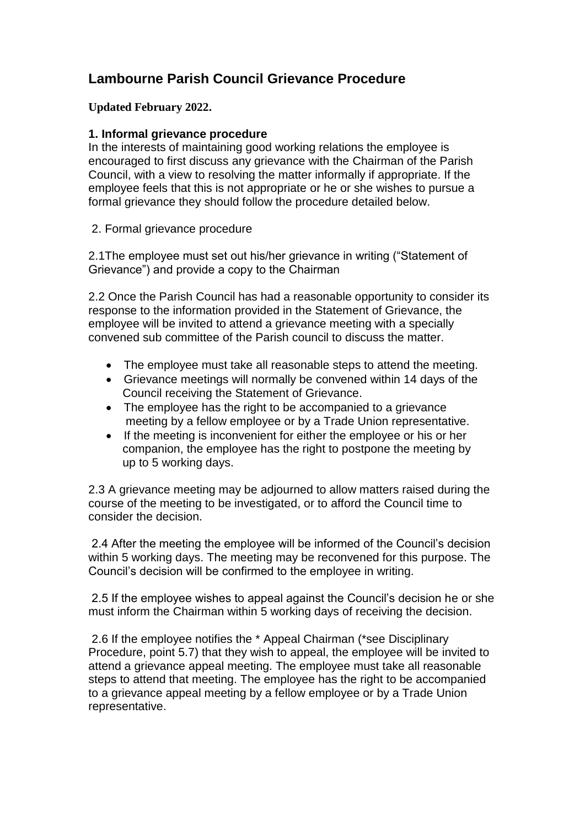## **Lambourne Parish Council Grievance Procedure**

**Updated February 2022.**

## **1. Informal grievance procedure**

In the interests of maintaining good working relations the employee is encouraged to first discuss any grievance with the Chairman of the Parish Council, with a view to resolving the matter informally if appropriate. If the employee feels that this is not appropriate or he or she wishes to pursue a formal grievance they should follow the procedure detailed below.

2. Formal grievance procedure

2.1The employee must set out his/her grievance in writing ("Statement of Grievance") and provide a copy to the Chairman

2.2 Once the Parish Council has had a reasonable opportunity to consider its response to the information provided in the Statement of Grievance, the employee will be invited to attend a grievance meeting with a specially convened sub committee of the Parish council to discuss the matter.

- The employee must take all reasonable steps to attend the meeting.
- Grievance meetings will normally be convened within 14 days of the Council receiving the Statement of Grievance.
- The employee has the right to be accompanied to a grievance meeting by a fellow employee or by a Trade Union representative.
- If the meeting is inconvenient for either the employee or his or her companion, the employee has the right to postpone the meeting by up to 5 working days.

2.3 A grievance meeting may be adjourned to allow matters raised during the course of the meeting to be investigated, or to afford the Council time to consider the decision.

2.4 After the meeting the employee will be informed of the Council's decision within 5 working days. The meeting may be reconvened for this purpose. The Council's decision will be confirmed to the employee in writing.

2.5 If the employee wishes to appeal against the Council's decision he or she must inform the Chairman within 5 working days of receiving the decision.

2.6 If the employee notifies the \* Appeal Chairman (\*see Disciplinary Procedure, point 5.7) that they wish to appeal, the employee will be invited to attend a grievance appeal meeting. The employee must take all reasonable steps to attend that meeting. The employee has the right to be accompanied to a grievance appeal meeting by a fellow employee or by a Trade Union representative.